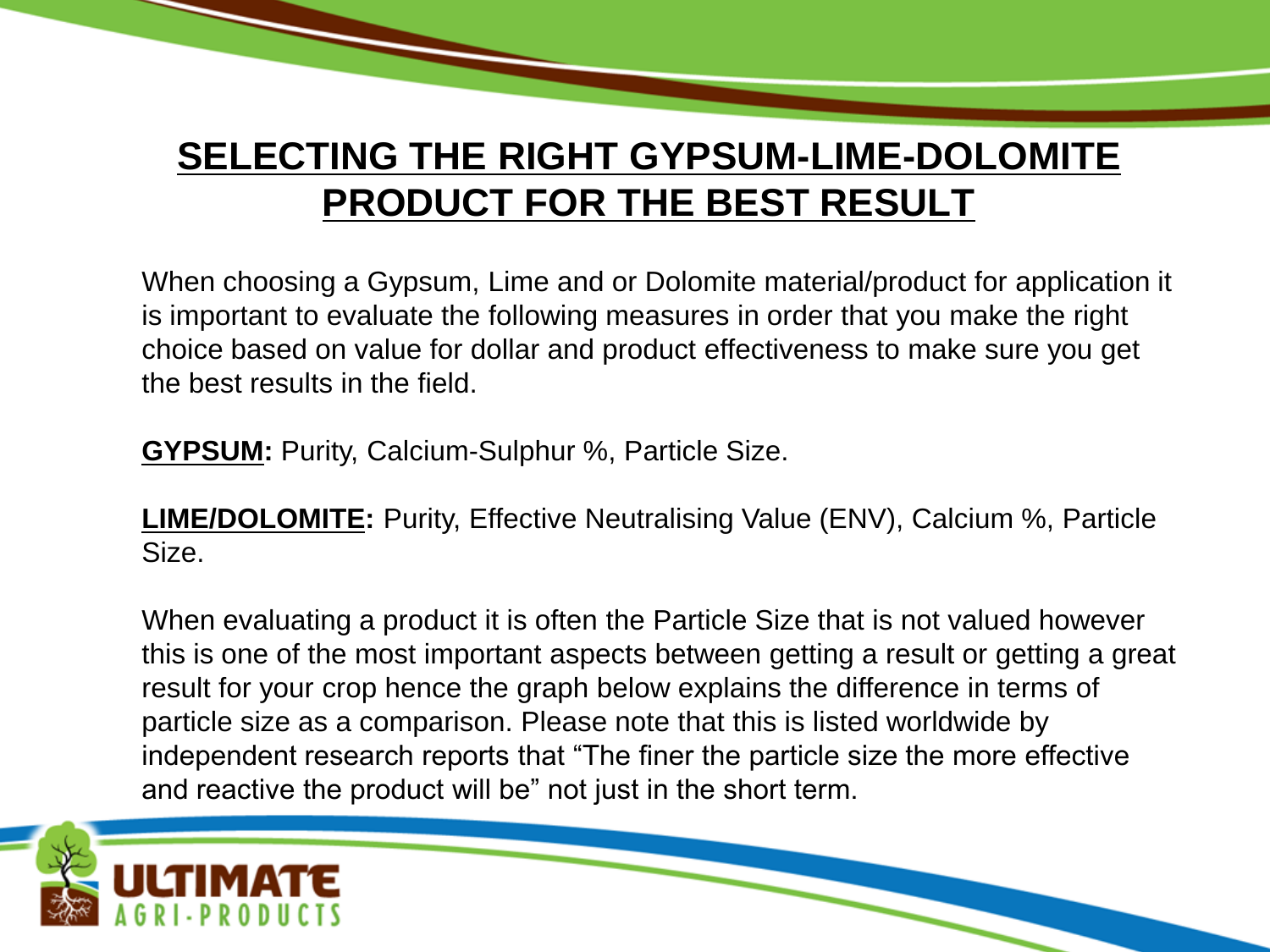## **SELECTING THE RIGHT GYPSUM-LIME-DOLOMITE PRODUCT FOR THE BEST RESULT**

When choosing a Gypsum, Lime and or Dolomite material/product for application it is important to evaluate the following measures in order that you make the right choice based on value for dollar and product effectiveness to make sure you get the best results in the field.

**GYPSUM:** Purity, Calcium-Sulphur %, Particle Size.

**LIME/DOLOMITE:** Purity, Effective Neutralising Value (ENV), Calcium %, Particle Size.

When evaluating a product it is often the Particle Size that is not valued however this is one of the most important aspects between getting a result or getting a great result for your crop hence the graph below explains the difference in terms of particle size as a comparison. Please note that this is listed worldwide by independent research reports that "The finer the particle size the more effective and reactive the product will be" not just in the short term.

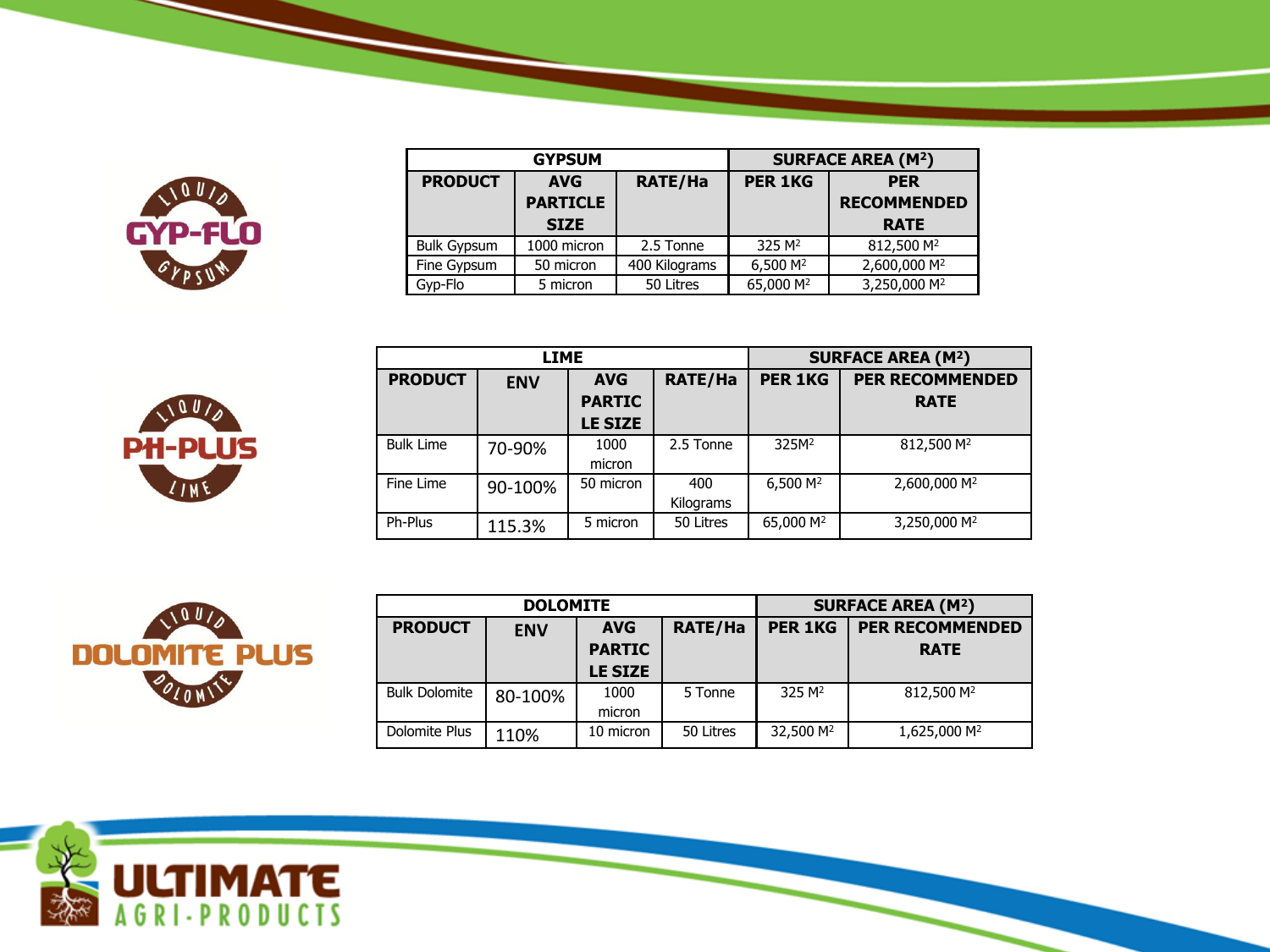

|                    | <b>GYPSUM</b>                 | <b>SURFACE AREA (M2)</b> |                       |                                  |
|--------------------|-------------------------------|--------------------------|-----------------------|----------------------------------|
| <b>PRODUCT</b>     | <b>AVG</b><br><b>PARTICLE</b> | <b>RATE/Ha</b>           | <b>PER 1KG</b>        | <b>PER</b><br><b>RECOMMENDED</b> |
|                    | <b>SIZE</b>                   |                          |                       | <b>RATE</b>                      |
| <b>Bulk Gypsum</b> | 1000 micron                   | 2.5 Tonne                | 325 M <sup>2</sup>    | 812,500 M <sup>2</sup>           |
| Fine Gypsum        | 50 micron                     | 400 Kilograms            | 6,500 M <sup>2</sup>  | 2,600,000 M <sup>2</sup>         |
| Gyp-Flo            | 5 micron                      | 50 Litres                | 65,000 M <sup>2</sup> | 3,250,000 M <sup>2</sup>         |



| <b>LIME</b>      |            |                                 |                  | <b>SURFACE AREA (M2)</b> |                          |  |
|------------------|------------|---------------------------------|------------------|--------------------------|--------------------------|--|
| <b>PRODUCT</b>   | <b>ENV</b> | <b>AVG</b>                      | <b>RATE/Ha</b>   | <b>PER 1KG</b>           | <b>PER RECOMMENDED</b>   |  |
|                  |            | <b>PARTIC</b><br><b>LE SIZE</b> |                  |                          | <b>RATE</b>              |  |
| <b>Bulk Lime</b> | 70-90%     | 1000<br>micron                  | 2.5 Tonne        | 325M <sup>2</sup>        | 812,500 M <sup>2</sup>   |  |
| Fine Lime        | 90-100%    | 50 micron                       | 400<br>Kilograms | 6,500 M <sup>2</sup>     | 2,600,000 M <sup>2</sup> |  |
| Ph-Plus          | 115.3%     | 5 micron                        | 50 Litres        | 65,000 M <sup>2</sup>    | 3,250,000 M <sup>2</sup> |  |



| <b>DOLOMITE</b>      |            |                             |                | <b>SURFACE AREA (M2)</b> |                                       |
|----------------------|------------|-----------------------------|----------------|--------------------------|---------------------------------------|
| <b>PRODUCT</b>       | <b>ENV</b> | <b>AVG</b><br><b>PARTIC</b> | <b>RATE/Ha</b> | <b>PER 1KG</b>           | <b>PER RECOMMENDED</b><br><b>RATE</b> |
|                      |            | <b>LE SIZE</b>              |                |                          |                                       |
| <b>Bulk Dolomite</b> | 80-100%    | 1000<br>micron              | 5 Tonne        | 325 M <sup>2</sup>       | 812,500 M <sup>2</sup>                |
| Dolomite Plus        | 110%       | 10 micron                   | 50 Litres      | 32,500 M <sup>2</sup>    | 1,625,000 M <sup>2</sup>              |